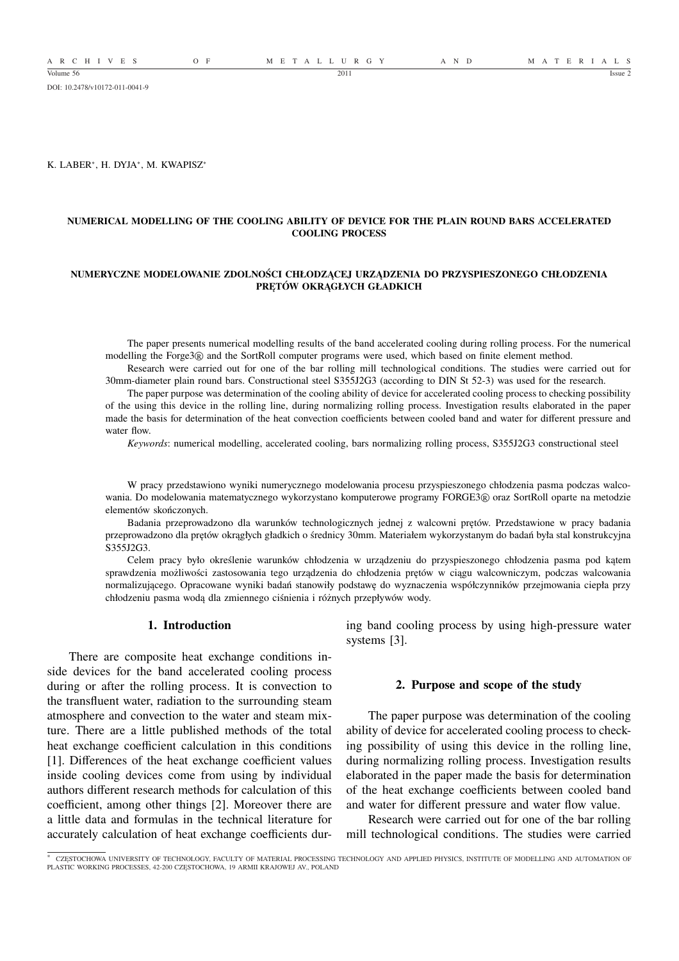A R C H I V E S O F M E T A L L U R G Y A N D M A T E R I A L S

DOI: 10.2478/v10172-011-0041-9

K. LABER<sup>∗</sup> , H. DYJA<sup>∗</sup> , M. KWAPISZ<sup>∗</sup>

### **NUMERICAL MODELLING OF THE COOLING ABILITY OF DEVICE FOR THE PLAIN ROUND BARS ACCELERATED COOLING PROCESS**

### **NUMERYCZNE MODELOWANIE ZDOLNOŚCI CHŁODZĄCEJ URZĄDZENIA DO PRZYSPIESZONEGO CHŁODZENIA PRĘTÓW OKRĄGŁYCH GŁADKICH**

The paper presents numerical modelling results of the band accelerated cooling during rolling process. For the numerical modelling the Forge3 <sup>R</sup> and the SortRoll computer programs were used, which based on finite element method.

Research were carried out for one of the bar rolling mill technological conditions. The studies were carried out for 30mm-diameter plain round bars. Constructional steel S355J2G3 (according to DIN St 52-3) was used for the research.

The paper purpose was determination of the cooling ability of device for accelerated cooling process to checking possibility of the using this device in the rolling line, during normalizing rolling process. Investigation results elaborated in the paper made the basis for determination of the heat convection coefficients between cooled band and water for different pressure and water flow.

*Keywords*: numerical modelling, accelerated cooling, bars normalizing rolling process, S355J2G3 constructional steel

W pracy przedstawiono wyniki numerycznego modelowania procesu przyspieszonego chłodzenia pasma podczas walcowania. Do modelowania matematycznego wykorzystano komputerowe programy FORGE3® oraz SortRoll oparte na metodzie elementów skończonych.

Badania przeprowadzono dla warunków technologicznych jednej z walcowni prętów. Przedstawione w pracy badania przeprowadzono dla prętów okrągłych gładkich o średnicy 30mm. Materiałem wykorzystanym do badań była stal konstrukcyjna S355J2G3.

Celem pracy było określenie warunków chłodzenia w urządzeniu do przyspieszonego chłodzenia pasma pod kątem sprawdzenia możliwości zastosowania tego urządzenia do chłodzenia prętów w ciągu walcowniczym, podczas walcowania normalizującego. Opracowane wyniki badań stanowiły podstawę do wyznaczenia współczynników przejmowania ciepła przy chłodzeniu pasma wodą dla zmiennego ciśnienia i różnych przepływów wody.

## **1. Introduction**

There are composite heat exchange conditions inside devices for the band accelerated cooling process during or after the rolling process. It is convection to the transfluent water, radiation to the surrounding steam atmosphere and convection to the water and steam mixture. There are a little published methods of the total heat exchange coefficient calculation in this conditions [1]. Differences of the heat exchange coefficient values inside cooling devices come from using by individual authors different research methods for calculation of this coefficient, among other things [2]. Moreover there are a little data and formulas in the technical literature for accurately calculation of heat exchange coefficients during band cooling process by using high-pressure water systems [3].

### **2. Purpose and scope of the study**

The paper purpose was determination of the cooling ability of device for accelerated cooling process to checking possibility of using this device in the rolling line, during normalizing rolling process. Investigation results elaborated in the paper made the basis for determination of the heat exchange coefficients between cooled band and water for different pressure and water flow value.

Research were carried out for one of the bar rolling mill technological conditions. The studies were carried

<sup>∗</sup> CZĘSTOCHOWA UNIVERSITY OF TECHNOLOGY, FACULTY OF MATERIAL PROCESSING TECHNOLOGY AND APPLIED PHYSICS, INSTITUTE OF MODELLING AND AUTOMATION OF PLASTIC WORKING PROCESSES, 42-200 CZĘSTOCHOWA, 19 ARMII KRAJOWEJ AV., POLAND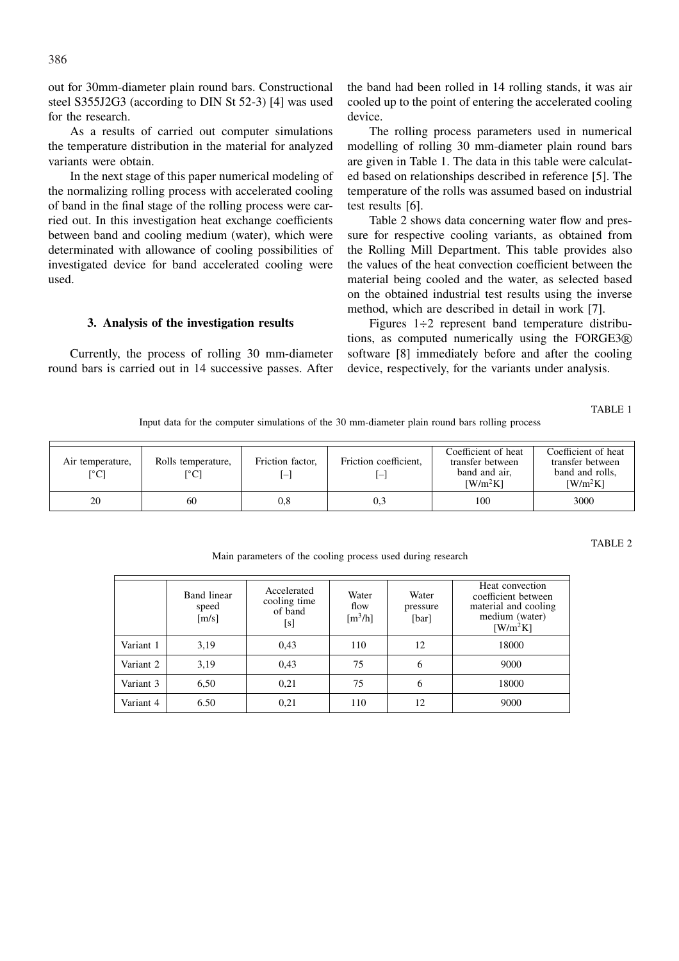out for 30mm-diameter plain round bars. Constructional steel S355J2G3 (according to DIN St 52-3) [4] was used for the research.

As a results of carried out computer simulations the temperature distribution in the material for analyzed variants were obtain.

In the next stage of this paper numerical modeling of the normalizing rolling process with accelerated cooling of band in the final stage of the rolling process were carried out. In this investigation heat exchange coefficients between band and cooling medium (water), which were determinated with allowance of cooling possibilities of investigated device for band accelerated cooling were used.

## **3. Analysis of the investigation results**

Currently, the process of rolling 30 mm-diameter round bars is carried out in 14 successive passes. After the band had been rolled in 14 rolling stands, it was air cooled up to the point of entering the accelerated cooling device.

The rolling process parameters used in numerical modelling of rolling 30 mm-diameter plain round bars are given in Table 1. The data in this table were calculated based on relationships described in reference [5]. The temperature of the rolls was assumed based on industrial test results [6].

Table 2 shows data concerning water flow and pressure for respective cooling variants, as obtained from the Rolling Mill Department. This table provides also the values of the heat convection coefficient between the material being cooled and the water, as selected based on the obtained industrial test results using the inverse method, which are described in detail in work [7].

Figures 1÷2 represent band temperature distributions, as computed numerically using the FORGE3 <sup>R</sup> software [8] immediately before and after the cooling device, respectively, for the variants under analysis.

TABLE 1

Input data for the computer simulations of the 30 mm-diameter plain round bars rolling process

| Air temperature,<br>$\lceil{^\circ}\text{C}\rceil$ | Rolls temperature,<br>$\rm ^{\circ}Cl$ | Friction factor,<br>[— | Friction coefficient.<br>- 1 | Coefficient of heat<br>transfer between<br>band and air,<br>$\left[\text{W/m}^2\text{K}\right]$ | Coefficient of heat<br>transfer between<br>band and rolls,<br>$[ W/m^2K ]$ |
|----------------------------------------------------|----------------------------------------|------------------------|------------------------------|-------------------------------------------------------------------------------------------------|----------------------------------------------------------------------------|
| 20                                                 | 60                                     | $_{0.8}$               | 0,3                          | 100                                                                                             | 3000                                                                       |

#### TABLE 2

Band linear speed  $[m/s]$ Accelerated cooling time of band [s] Water flow  $[m<sup>3</sup>/h]$ Water pressure [bar] Heat convection coefficient between material and cooling medium (water)  $[**W**/**m**<sup>2</sup>**K**]$ Variant 1 | 3,19 | 0,43 | 110 | 12 | 18000 Variant 2 | 3,19 | 0,43 | 75 | 6 | 9000 Variant 3 | 6,50 | 0,21 | 75 | 6 | 18000 Variant 4 | 6.50 | 0,21 | 110 | 12 | 9000

Main parameters of the cooling process used during research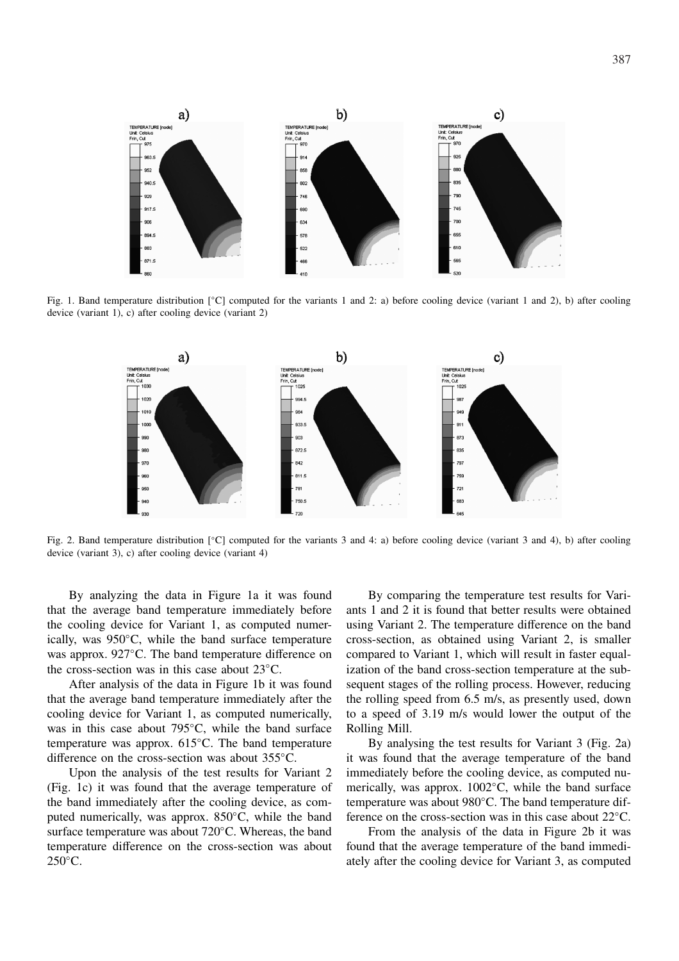

Fig. 1. Band temperature distribution [◦C] computed for the variants 1 and 2: a) before cooling device (variant 1 and 2), b) after cooling device (variant 1), c) after cooling device (variant 2)



Fig. 2. Band temperature distribution [◦C] computed for the variants 3 and 4: a) before cooling device (variant 3 and 4), b) after cooling device (variant 3), c) after cooling device (variant 4)

By analyzing the data in Figure 1a it was found that the average band temperature immediately before the cooling device for Variant 1, as computed numerically, was 950◦C, while the band surface temperature was approx. 927◦C. The band temperature difference on the cross-section was in this case about 23◦C.

After analysis of the data in Figure 1b it was found that the average band temperature immediately after the cooling device for Variant 1, as computed numerically, was in this case about 795<sup>°</sup>C, while the band surface temperature was approx. 615◦C. The band temperature difference on the cross-section was about 355◦C.

Upon the analysis of the test results for Variant 2 (Fig. 1c) it was found that the average temperature of the band immediately after the cooling device, as computed numerically, was approx. 850◦C, while the band surface temperature was about 720◦C. Whereas, the band temperature difference on the cross-section was about  $250^{\circ}$ C.

By comparing the temperature test results for Variants 1 and 2 it is found that better results were obtained using Variant 2. The temperature difference on the band cross-section, as obtained using Variant 2, is smaller compared to Variant 1, which will result in faster equalization of the band cross-section temperature at the subsequent stages of the rolling process. However, reducing the rolling speed from 6.5 m/s, as presently used, down to a speed of 3.19 m/s would lower the output of the Rolling Mill.

By analysing the test results for Variant 3 (Fig. 2a) it was found that the average temperature of the band immediately before the cooling device, as computed numerically, was approx. 1002◦C, while the band surface temperature was about 980◦C. The band temperature difference on the cross-section was in this case about 22◦C.

From the analysis of the data in Figure 2b it was found that the average temperature of the band immediately after the cooling device for Variant 3, as computed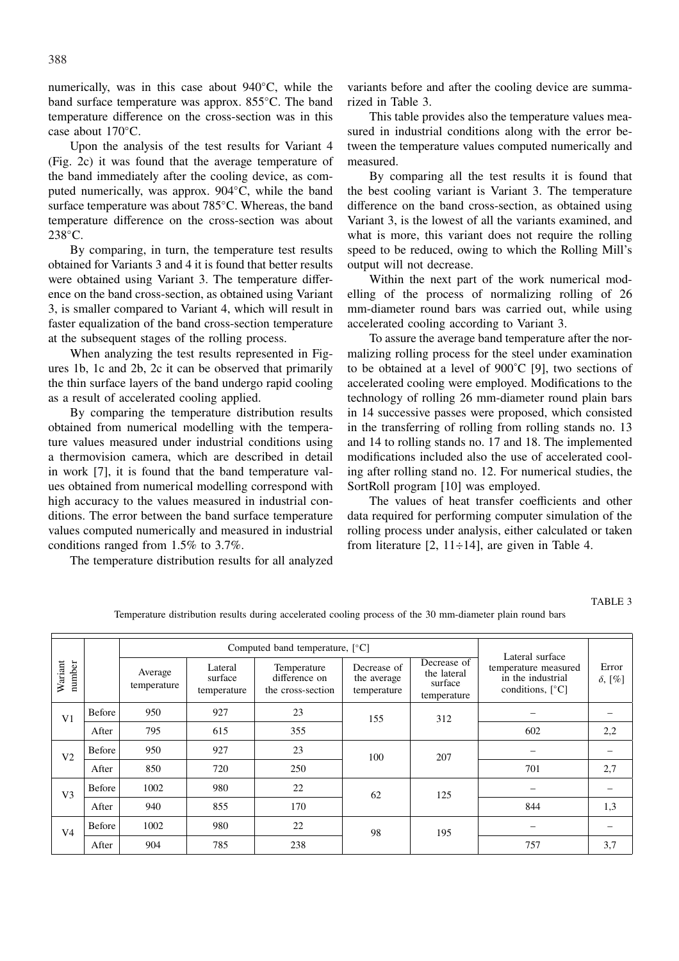numerically, was in this case about 940◦C, while the band surface temperature was approx. 855◦C. The band temperature difference on the cross-section was in this case about 170◦C.

Upon the analysis of the test results for Variant 4 (Fig. 2c) it was found that the average temperature of the band immediately after the cooling device, as computed numerically, was approx. 904◦C, while the band surface temperature was about 785◦C. Whereas, the band temperature difference on the cross-section was about 238◦C.

By comparing, in turn, the temperature test results obtained for Variants 3 and 4 it is found that better results were obtained using Variant 3. The temperature difference on the band cross-section, as obtained using Variant 3, is smaller compared to Variant 4, which will result in faster equalization of the band cross-section temperature at the subsequent stages of the rolling process.

When analyzing the test results represented in Figures 1b, 1c and 2b, 2c it can be observed that primarily the thin surface layers of the band undergo rapid cooling as a result of accelerated cooling applied.

By comparing the temperature distribution results obtained from numerical modelling with the temperature values measured under industrial conditions using a thermovision camera, which are described in detail in work [7], it is found that the band temperature values obtained from numerical modelling correspond with high accuracy to the values measured in industrial conditions. The error between the band surface temperature values computed numerically and measured in industrial conditions ranged from 1.5% to 3.7%.

The temperature distribution results for all analyzed

variants before and after the cooling device are summarized in Table 3.

This table provides also the temperature values measured in industrial conditions along with the error between the temperature values computed numerically and measured.

By comparing all the test results it is found that the best cooling variant is Variant 3. The temperature difference on the band cross-section, as obtained using Variant 3, is the lowest of all the variants examined, and what is more, this variant does not require the rolling speed to be reduced, owing to which the Rolling Mill's output will not decrease.

Within the next part of the work numerical modelling of the process of normalizing rolling of 26 mm-diameter round bars was carried out, while using accelerated cooling according to Variant 3.

To assure the average band temperature after the normalizing rolling process for the steel under examination to be obtained at a level of 900˚C [9], two sections of accelerated cooling were employed. Modifications to the technology of rolling 26 mm-diameter round plain bars in 14 successive passes were proposed, which consisted in the transferring of rolling from rolling stands no. 13 and 14 to rolling stands no. 17 and 18. The implemented modifications included also the use of accelerated cooling after rolling stand no. 12. For numerical studies, the SortRoll program [10] was employed.

The values of heat transfer coefficients and other data required for performing computer simulation of the rolling process under analysis, either calculated or taken from literature  $[2, 11 \div 14]$ , are given in Table 4.

#### TABLE 3

|                          |               |                        | Computed band temperature, $[^{\circ}C]$ | Lateral surface                                   |                                           |                                                      |                                                                                    |                         |
|--------------------------|---------------|------------------------|------------------------------------------|---------------------------------------------------|-------------------------------------------|------------------------------------------------------|------------------------------------------------------------------------------------|-------------------------|
| Wariant<br>number        |               | Average<br>temperature | Lateral<br>surface<br>temperature        | Temperature<br>difference on<br>the cross-section | Decrease of<br>the average<br>temperature | Decrease of<br>the lateral<br>surface<br>temperature | temperature measured<br>in the industrial<br>conditions, $\lceil \degree C \rceil$ | Error<br>$\delta$ , [%] |
| V <sub>1</sub>           | Before        | 950                    | 927                                      | 23                                                | 155                                       | 312                                                  |                                                                                    |                         |
|                          | After         | 795                    | 615                                      | 355                                               |                                           |                                                      | 602                                                                                | 2,2                     |
| Before<br>V <sub>2</sub> | 950           | 927                    | 23                                       | 100                                               | 207                                       |                                                      |                                                                                    |                         |
|                          | After         | 850                    | 720                                      | 250                                               |                                           |                                                      | 701                                                                                | 2,7                     |
| V <sub>3</sub>           | Before        | 1002                   | 980                                      | 22                                                | 62                                        | 125                                                  |                                                                                    |                         |
|                          | After         | 940                    | 855                                      | 170                                               |                                           |                                                      | 844                                                                                | 1,3                     |
| V <sub>4</sub>           | <b>Before</b> | 1002                   | 980                                      | 22                                                | 98                                        | 195                                                  |                                                                                    |                         |
|                          | After         | 904                    | 785                                      | 238                                               |                                           |                                                      | 757                                                                                | 3,7                     |

Temperature distribution results during accelerated cooling process of the 30 mm-diameter plain round bars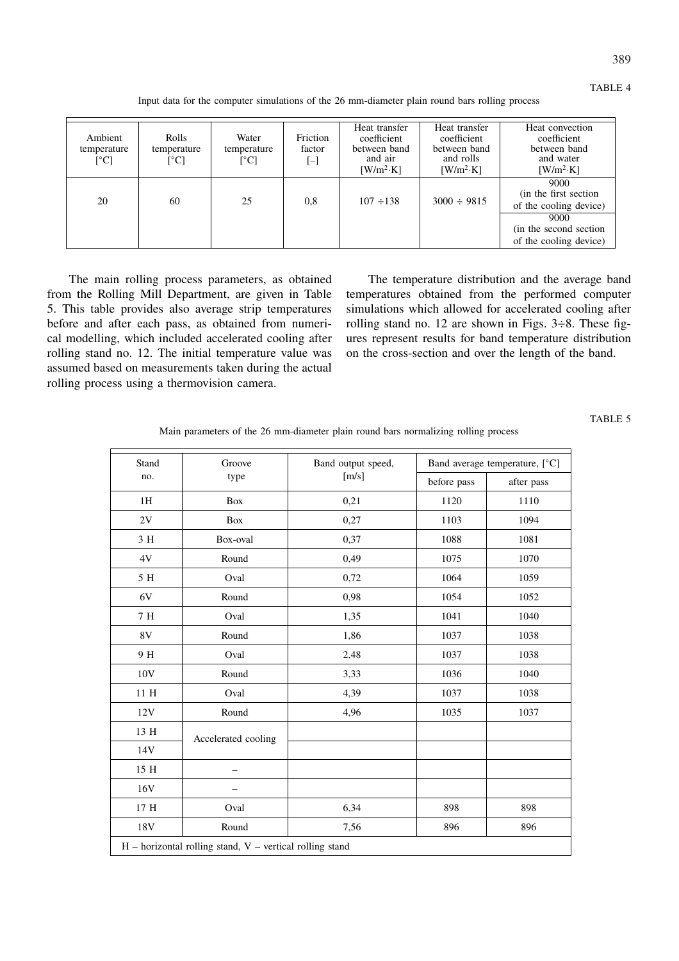| Ambient<br>temperature<br>$\lceil$ °C] | <b>Rolls</b><br>temperature<br>$\lceil{^\circ}\mathsf{C}\rceil$ | Water<br>temperature<br>$\lceil{^{\circ}C}\rceil$ | Friction<br>factor<br>$\Box$ | Heat transfer<br>coefficient<br>between band<br>and air<br>$[ W/m^2 \cdot K ]$ | Heat transfer<br>coefficient<br>between band<br>and rolls<br>$[ W/m^2 \cdot K ]$ | Heat convection<br>coefficient<br>between band<br>and water<br>$[$ W/m <sup>2</sup> ·K] |
|----------------------------------------|-----------------------------------------------------------------|---------------------------------------------------|------------------------------|--------------------------------------------------------------------------------|----------------------------------------------------------------------------------|-----------------------------------------------------------------------------------------|
| 20                                     | 60                                                              | 25                                                | 0.8                          | $107 \div 138$                                                                 | $3000 \div 9815$                                                                 | 9000<br>(in the first section)<br>of the cooling device)                                |
|                                        |                                                                 |                                                   |                              |                                                                                |                                                                                  | 9000<br>(in the second section)<br>of the cooling device)                               |

Input data for the computer simulations of the 26 mm-diameter plain round bars rolling process

The main rolling process parameters, as obtained from the Rolling Mill Department, are given in Table 5. This table provides also average strip temperatures before and after each pass, as obtained from numerical modelling, which included accelerated cooling after rolling stand no. 12. The initial temperature value was assumed based on measurements taken during the actual rolling process using a thermovision camera.

The temperature distribution and the average band temperatures obtained from the performed computer simulations which allowed for accelerated cooling after rolling stand no. 12 are shown in Figs.  $3\div 8$ . These figures represent results for band temperature distribution on the cross-section and over the length of the band.

# TABLE 5

| Stand                                                      | Groove              | Band output speed, | Band average temperature, [°C] |            |  |  |
|------------------------------------------------------------|---------------------|--------------------|--------------------------------|------------|--|--|
| no.                                                        | type                | [m/s]              | before pass                    | after pass |  |  |
| 1H                                                         | Box                 | 0,21               | 1120                           | 1110       |  |  |
| 2V                                                         | Box                 | 0,27               | 1103                           | 1094       |  |  |
| 3 H                                                        | Box-oval            | 0,37               | 1088                           | 1081       |  |  |
| 4V                                                         | Round               | 0,49               | 1075                           | 1070       |  |  |
| 5 H                                                        | Oval                | 0,72               | 1064                           | 1059       |  |  |
| 6V                                                         | Round               | 0,98               | 1054                           | 1052       |  |  |
| 7H                                                         | Oval                | 1,35               | 1041                           | 1040       |  |  |
| $8\mathrm{V}$                                              | Round               | 1,86               | 1037                           | 1038       |  |  |
| 9 H                                                        | Oval                | 2,48               | 1037                           | 1038       |  |  |
| 10V                                                        | Round               | 3,33               | 1036                           | 1040       |  |  |
| $11\ \mathrm{H}$                                           | Oval                | 4,39               | 1037                           | 1038       |  |  |
| 12V                                                        | Round               | 4,96               | 1035                           | 1037       |  |  |
| 13 H                                                       | Accelerated cooling |                    |                                |            |  |  |
| 14V                                                        |                     |                    |                                |            |  |  |
| 15 H                                                       |                     |                    |                                |            |  |  |
| 16V                                                        |                     |                    |                                |            |  |  |
| $17\ \mathrm{H}$                                           | Oval                | 6,34               | 898                            | 898        |  |  |
| 18V                                                        | Round               | 7,56               | 896                            | 896        |  |  |
| $H$ – horizontal rolling stand, V – vertical rolling stand |                     |                    |                                |            |  |  |

Main parameters of the 26 mm-diameter plain round bars normalizing rolling process

## TABLE 4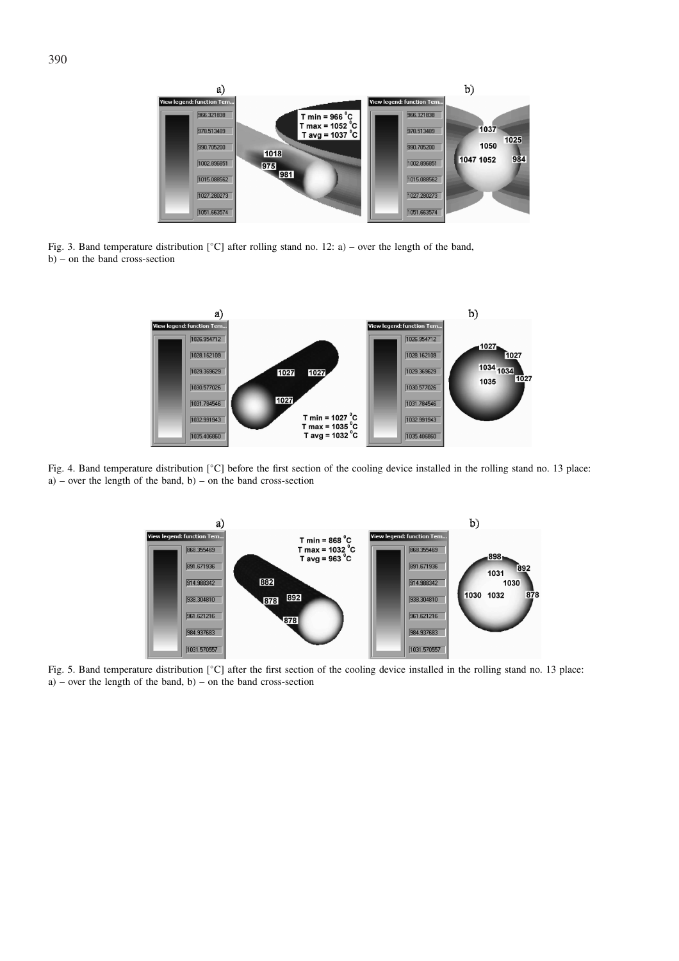

Fig. 3. Band temperature distribution [◦C] after rolling stand no. 12: a) – over the length of the band, b) – on the band cross-section



Fig. 4. Band temperature distribution [◦C] before the first section of the cooling device installed in the rolling stand no. 13 place:  $a$ ) – over the length of the band, b) – on the band cross-section



Fig. 5. Band temperature distribution [◦C] after the first section of the cooling device installed in the rolling stand no. 13 place:  $a)$  – over the length of the band, b) – on the band cross-section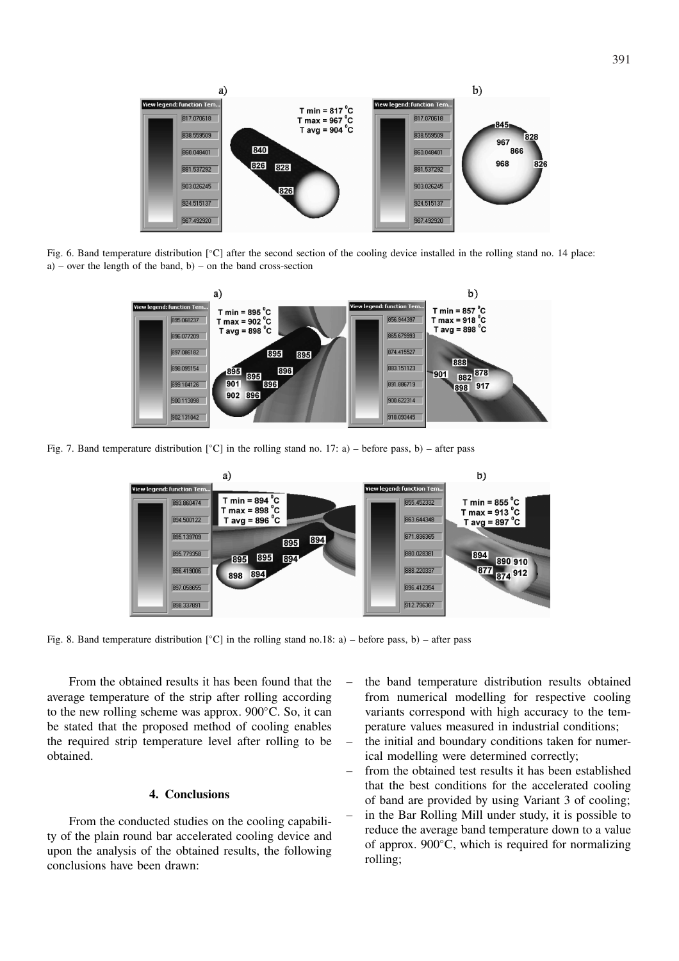

Fig. 6. Band temperature distribution [◦C] after the second section of the cooling device installed in the rolling stand no. 14 place:  $a$ ) – over the length of the band, b) – on the band cross-section



Fig. 7. Band temperature distribution  $\lceil \frac{°C \rceil}{\text{in}} \rceil$  in the rolling stand no. 17: a) – before pass, b) – after pass



Fig. 8. Band temperature distribution  $\lceil \circ C \rceil$  in the rolling stand no.18: a) – before pass, b) – after pass

From the obtained results it has been found that the average temperature of the strip after rolling according to the new rolling scheme was approx. 900◦C. So, it can be stated that the proposed method of cooling enables the required strip temperature level after rolling to be obtained.

## **4. Conclusions**

From the conducted studies on the cooling capability of the plain round bar accelerated cooling device and upon the analysis of the obtained results, the following conclusions have been drawn:

- the band temperature distribution results obtained from numerical modelling for respective cooling variants correspond with high accuracy to the temperature values measured in industrial conditions;
- the initial and boundary conditions taken for numerical modelling were determined correctly;
- from the obtained test results it has been established that the best conditions for the accelerated cooling of band are provided by using Variant 3 of cooling;
- in the Bar Rolling Mill under study, it is possible to reduce the average band temperature down to a value of approx. 900◦C, which is required for normalizing rolling;